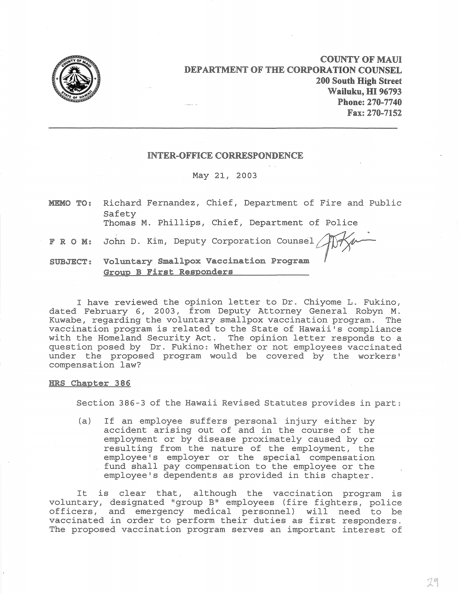

**COUNTY OF MAUl DEPARTMENT OF THE CORPORATION COUNSEL 200 South High Street Wailuku, HI 96793 Phone: 270-7740 Fax: 270-7152** 

## **INTER-OFFICE CORRESPONDENCE**

## May 21, 2003

**MEMO TO: F R O M:** John D. Kim, Deputy Corporation Counsel Alter **SUBJECT:**  Voluntary Smallpox **Vaccination Program** ~ I'~ /J Richard Fernandez, Chief, Department of Fire and Public Safety Thomas M. Phillips, Chief, Department of Police **Group B First Responders** 

I have reviewed the opinion letter to Dr. Chiyome L. Fukino, dated February 6, 2003, from Deputy Attorney General Robyn M. Kuwabe, regarding the voluntary smallpox vaccination program. The vaccination program is related to the State of Hawaii's compliance with the Homeland Security Act. The opinion letter responds to a question posed by Dr. Fukino: Whether or not employees vaccinated under the proposed program would be covered by the workers' compensation law?

## **HRS Chapter 386**

Section 386-3 of the Hawaii Revised Statutes provides in part:

(a) If an employee suffers personal injury either by accident arising out of and in the course of the employment or by disease proximately caused by or resulting from the nature of the employment, the employee's employer or the special compensation fund shall pay compensation to the employee or the employee's dependents as provided in this chapter.

It is clear that, although the vaccination program is voluntary, designated "group B" employees (fire fighters, police officers, and emergency medical personnel) will need to be vaccinated in order to perform their duties as first responders. The proposed vaccination program serves an important interest of